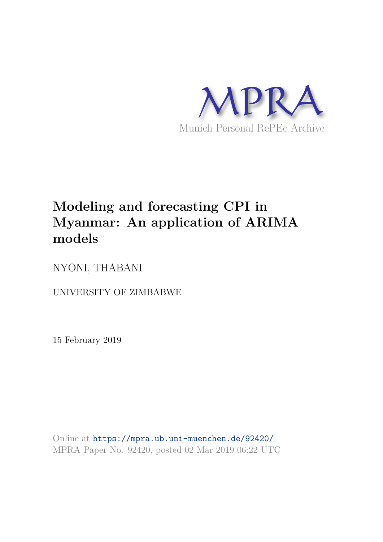

# **Modeling and forecasting CPI in Myanmar: An application of ARIMA models**

NYONI, THABANI

UNIVERSITY OF ZIMBABWE

15 February 2019

Online at https://mpra.ub.uni-muenchen.de/92420/ MPRA Paper No. 92420, posted 02 Mar 2019 06:22 UTC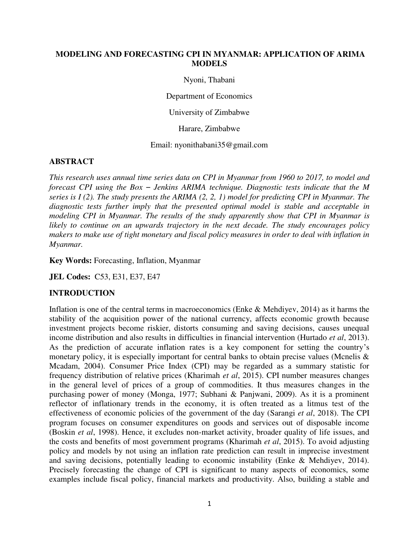#### **MODELING AND FORECASTING CPI IN MYANMAR: APPLICATION OF ARIMA MODELS**

Nyoni, Thabani

Department of Economics

University of Zimbabwe

Harare, Zimbabwe

Email: nyonithabani35@gmail.com

#### **ABSTRACT**

*This research uses annual time series data on CPI in Myanmar from 1960 to 2017, to model and forecast CPI using the Box – Jenkins ARIMA technique. Diagnostic tests indicate that the M series is I (2). The study presents the ARIMA (2, 2, 1) model for predicting CPI in Myanmar. The diagnostic tests further imply that the presented optimal model is stable and acceptable in modeling CPI in Myanmar. The results of the study apparently show that CPI in Myanmar is likely to continue on an upwards trajectory in the next decade. The study encourages policy makers to make use of tight monetary and fiscal policy measures in order to deal with inflation in Myanmar.* 

**Key Words:** Forecasting, Inflation, Myanmar

**JEL Codes:** C53, E31, E37, E47

#### **INTRODUCTION**

Inflation is one of the central terms in macroeconomics (Enke & Mehdiyev, 2014) as it harms the stability of the acquisition power of the national currency, affects economic growth because investment projects become riskier, distorts consuming and saving decisions, causes unequal income distribution and also results in difficulties in financial intervention (Hurtado *et al*, 2013). As the prediction of accurate inflation rates is a key component for setting the country's monetary policy, it is especially important for central banks to obtain precise values (Mcnelis & Mcadam, 2004). Consumer Price Index (CPI) may be regarded as a summary statistic for frequency distribution of relative prices (Kharimah *et al*, 2015). CPI number measures changes in the general level of prices of a group of commodities. It thus measures changes in the purchasing power of money (Monga, 1977; Subhani & Panjwani, 2009). As it is a prominent reflector of inflationary trends in the economy, it is often treated as a litmus test of the effectiveness of economic policies of the government of the day (Sarangi *et al*, 2018). The CPI program focuses on consumer expenditures on goods and services out of disposable income (Boskin *et al*, 1998). Hence, it excludes non-market activity, broader quality of life issues, and the costs and benefits of most government programs (Kharimah *et al*, 2015). To avoid adjusting policy and models by not using an inflation rate prediction can result in imprecise investment and saving decisions, potentially leading to economic instability (Enke & Mehdiyev, 2014). Precisely forecasting the change of CPI is significant to many aspects of economics, some examples include fiscal policy, financial markets and productivity. Also, building a stable and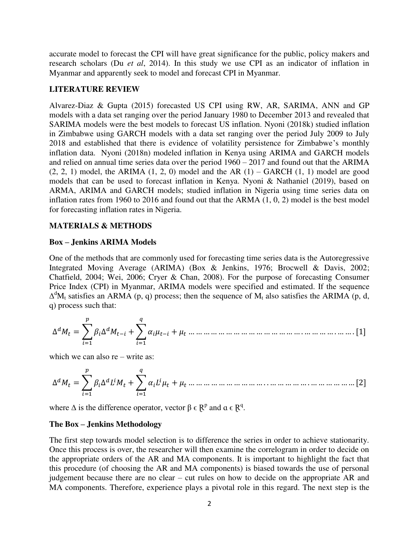accurate model to forecast the CPI will have great significance for the public, policy makers and research scholars (Du *et al*, 2014). In this study we use CPI as an indicator of inflation in Myanmar and apparently seek to model and forecast CPI in Myanmar.

#### **LITERATURE REVIEW**

Alvarez-Diaz & Gupta (2015) forecasted US CPI using RW, AR, SARIMA, ANN and GP models with a data set ranging over the period January 1980 to December 2013 and revealed that SARIMA models were the best models to forecast US inflation. Nyoni (2018k) studied inflation in Zimbabwe using GARCH models with a data set ranging over the period July 2009 to July 2018 and established that there is evidence of volatility persistence for Zimbabwe's monthly inflation data. Nyoni (2018n) modeled inflation in Kenya using ARIMA and GARCH models and relied on annual time series data over the period 1960 – 2017 and found out that the ARIMA  $(2, 2, 1)$  model, the ARIMA  $(1, 2, 0)$  model and the AR  $(1)$  – GARCH  $(1, 1)$  model are good models that can be used to forecast inflation in Kenya. Nyoni & Nathaniel (2019), based on ARMA, ARIMA and GARCH models; studied inflation in Nigeria using time series data on inflation rates from 1960 to 2016 and found out that the ARMA (1, 0, 2) model is the best model for forecasting inflation rates in Nigeria.

#### **MATERIALS & METHODS**

#### **Box – Jenkins ARIMA Models**

One of the methods that are commonly used for forecasting time series data is the Autoregressive Integrated Moving Average (ARIMA) (Box & Jenkins, 1976; Brocwell & Davis, 2002; Chatfield, 2004; Wei, 2006; Cryer & Chan, 2008). For the purpose of forecasting Consumer Price Index (CPI) in Myanmar, ARIMA models were specified and estimated. If the sequence  $\Delta^{d}M_{t}$  satisfies an ARMA (p, q) process; then the sequence of  $M_{t}$  also satisfies the ARIMA (p, d, q) process such that:

∆ = ∑ ∆ − + =1 ∑ − =1 + … … … … … … … … … … … … … … … . … … … … . … … . [1]

which we can also re – write as:

∆ = ∑ ∆ =1 + ∑ =1 + … … … … … … … … … … . . … … … … … . … … … … … … [2]

where  $\Delta$  is the difference operator, vector  $\beta \in \mathbb{R}^p$  and  $\alpha \in \mathbb{R}^q$ .

#### **The Box – Jenkins Methodology**

The first step towards model selection is to difference the series in order to achieve stationarity. Once this process is over, the researcher will then examine the correlogram in order to decide on the appropriate orders of the AR and MA components. It is important to highlight the fact that this procedure (of choosing the AR and MA components) is biased towards the use of personal judgement because there are no clear – cut rules on how to decide on the appropriate AR and MA components. Therefore, experience plays a pivotal role in this regard. The next step is the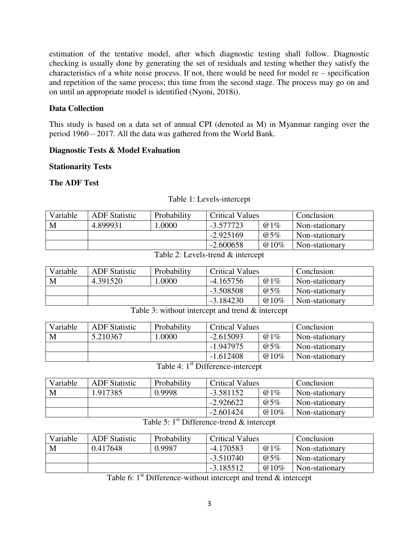estimation of the tentative model, after which diagnostic testing shall follow. Diagnostic checking is usually done by generating the set of residuals and testing whether they satisfy the characteristics of a white noise process. If not, there would be need for model re – specification and repetition of the same process; this time from the second stage. The process may go on and on until an appropriate model is identified (Nyoni, 2018i).

#### **Data Collection**

This study is based on a data set of annual CPI (denoted as M) in Myanmar ranging over the period 1960 – 2017. All the data was gathered from the World Bank.

#### **Diagnostic Tests & Model Evaluation**

#### **Stationarity Tests**

#### **The ADF Test**

| Variable | <b>ADF</b> Statistic | Probability | <b>Critical Values</b> |         | Conclusion     |
|----------|----------------------|-------------|------------------------|---------|----------------|
| M        | 4.899931             | .0000       | @1%<br>-3.577723       |         | Non-stationary |
|          |                      |             | $-2.925169$            | @5%     | Non-stationary |
|          |                      |             | $-2.600658$            | $@10\%$ | Non-stationary |

#### Table 1: Levels-intercept

#### Table 2: Levels-trend & intercept

| Variable | <b>ADF</b> Statistic | Probability | <b>Critical Values</b> |         | Conclusion     |
|----------|----------------------|-------------|------------------------|---------|----------------|
| M        | 4.391520             | .0000       | $-4.165756$<br>@1%     |         | Non-stationary |
|          |                      |             | $-3.508508$            | @5%     | Non-stationary |
|          |                      |             | $-3.184230$            | $@10\%$ | Non-stationary |

#### Table 3: without intercept and trend & intercept

| Variable | <b>ADF</b> Statistic | Probability                       | <b>Critical Values</b> |         | Conclusion     |
|----------|----------------------|-----------------------------------|------------------------|---------|----------------|
| M        | 5.210367             | 0000.1                            | $-2.615093$<br>@1%     |         | Non-stationary |
|          |                      |                                   | $-1.947975$            | @5%     | Non-stationary |
|          |                      |                                   | $-1.612408$            | $@10\%$ | Non-stationary |
|          |                      | $\sim$ st $\sim$ cc.<br>$T = 114$ |                        |         |                |

Table 4: 1<sup>st</sup> Difference-intercept

| Variable | <b>ADF</b> Statistic | Probability | <b>Critical Values</b> |      | Conclusion     |
|----------|----------------------|-------------|------------------------|------|----------------|
| M        | 1.917385             | 0.9998      | @1%<br>-3.581152       |      | Non-stationary |
|          |                      |             | $-2.926622$            | @5%  | Non-stationary |
|          |                      |             | $-2.601424$            | @10% | Non-stationary |

# Table 5:  $1<sup>st</sup>$  Difference-trend & intercept

| Variable | <b>ADF</b> Statistic | Probability | <b>Critical Values</b> |      | Conclusion     |
|----------|----------------------|-------------|------------------------|------|----------------|
| M        | 0.417648             | 0.9987      | @1%<br>$-4.170583$     |      | Non-stationary |
|          |                      |             | $-3.510740$            | @5%  | Non-stationary |
|          |                      |             | $-3.185512$            | @10% | Non-stationary |

Table 6:  $1<sup>st</sup>$  Difference-without intercept and trend  $&$  intercept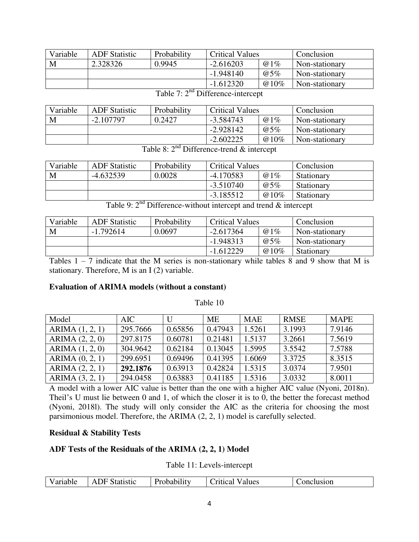| Variable | <b>ADF</b> Statistic | Probability | <b>Critical Values</b> |      | Conclusion     |
|----------|----------------------|-------------|------------------------|------|----------------|
| M        | 2.328326             | 0.9945      | $-2.616203$<br>@1%     |      | Non-stationary |
|          |                      |             | $-1.948140$            | @5%  | Non-stationary |
|          |                      |             | $-1.612320$            | @10% | Non-stationary |

| Variable | <b>ADF</b> Statistic | Probability                                                                                                                                                                                                                    | <b>Critical Values</b> |         | Conclusion     |
|----------|----------------------|--------------------------------------------------------------------------------------------------------------------------------------------------------------------------------------------------------------------------------|------------------------|---------|----------------|
| M        | $-2.107797$          | 0.2427                                                                                                                                                                                                                         | @1%<br>$-3.584743$     |         | Non-stationary |
|          |                      |                                                                                                                                                                                                                                | $-2.928142$            | @5%     | Non-stationary |
|          |                      |                                                                                                                                                                                                                                | $-2.602225$            | $@10\%$ | Non-stationary |
|          |                      | and the contract of the contract of the contract of the contract of the contract of the contract of the contract of the contract of the contract of the contract of the contract of the contract of the contract of the contra |                        |         |                |

Table 7: 2<sup>nd</sup> Difference-intercept

Table 8:  $2<sup>nd</sup>$  Difference-trend & intercept

| Variable | <b>ADF</b> Statistic | Probability | <b>Critical Values</b> |      | Conclusion |
|----------|----------------------|-------------|------------------------|------|------------|
| M        | $-4.632539$          | 0.0028      | $-4.170583$<br>@1%     |      | Stationary |
|          |                      |             | $-3.510740$            | @5%  | Stationary |
|          |                      |             | $-3.185512$            | @10% | Stationary |

Table 9:  $2<sup>nd</sup>$  Difference-without intercept and trend & intercept

| Variable | <b>ADF</b> Statistic | Probability | <b>Critical Values</b> |         | Conclusion        |
|----------|----------------------|-------------|------------------------|---------|-------------------|
| M        | $-1.792614$          | 0.0697      | $-2.617364$<br>@1%     |         | Non-stationary    |
|          |                      |             | $-1.948313$            | @5%     | Non-stationary    |
|          |                      |             | $-1.612229$            | $@10\%$ | <b>Stationary</b> |

Tables  $1 - 7$  indicate that the M series is non-stationary while tables 8 and 9 show that M is stationary. Therefore, M is an I (2) variable.

#### **Evaluation of ARIMA models (without a constant)**

Table 10

| Model             | AIC.     | U       | ME      | <b>MAE</b> | <b>RMSE</b> | <b>MAPE</b> |
|-------------------|----------|---------|---------|------------|-------------|-------------|
| ARIMA $(1, 2, 1)$ | 295.7666 | 0.65856 | 0.47943 | 1.5261     | 3.1993      | 7.9146      |
| ARIMA (2, 2, 0)   | 297.8175 | 0.60781 | 0.21481 | 1.5137     | 3.2661      | 7.5619      |
| ARIMA (1, 2, 0)   | 304.9642 | 0.62184 | 0.13045 | 1.5995     | 3.5542      | 7.5788      |
| ARIMA (0, 2, 1)   | 299.6951 | 0.69496 | 0.41395 | 1.6069     | 3.3725      | 8.3515      |
| ARIMA (2, 2, 1)   | 292.1876 | 0.63913 | 0.42824 | 1.5315     | 3.0374      | 7.9501      |
| ARIMA (3, 2, 1)   | 294.0458 | 0.63883 | 0.41185 | 1.5316     | 3.0332      | 8.0011      |

A model with a lower AIC value is better than the one with a higher AIC value (Nyoni, 2018n). Theil's U must lie between 0 and 1, of which the closer it is to 0, the better the forecast method (Nyoni, 2018l). The study will only consider the AIC as the criteria for choosing the most parsimonious model. Therefore, the ARIMA (2, 2, 1) model is carefully selected.

#### **Residual & Stability Tests**

#### **ADF Tests of the Residuals of the ARIMA (2, 2, 1) Model**

Table 11: Levels-intercept

| ariable<br>. | $\Delta$<br>Statistic<br>эь<br>. | بدايطه | alues<br>UTILICAJ<br>.<br>. | usion |
|--------------|----------------------------------|--------|-----------------------------|-------|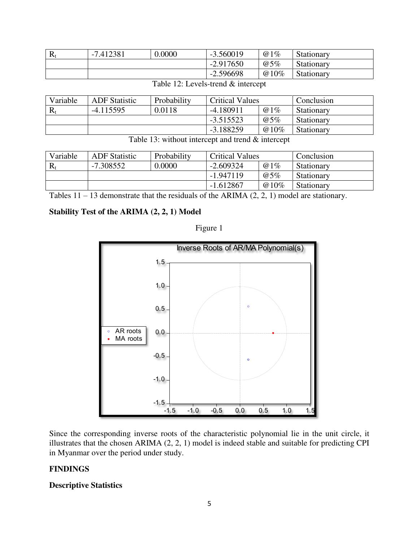| л | 7.412381<br>$-1$ | 0.0000 | $-3.560019$ | @1%  | Stationary |
|---|------------------|--------|-------------|------|------------|
|   |                  |        | $-2.917650$ | @5%  | Stationary |
|   |                  |        | $-2.596698$ | @10% | Stationary |

#### Table 12: Levels-trend & intercept

| Variable | <b>ADF</b> Statistic | Probability | <b>Critical Values</b> |      | Conclusion |
|----------|----------------------|-------------|------------------------|------|------------|
|          | $-4.115595$          | 0.0118      | $-4.180911$            | @1%  | Stationary |
|          |                      |             | $-3.515523$            | @5%  | Stationary |
|          |                      |             | $-3.188259$            | @10% | Stationary |
|          | __ _ _ _ _           | .           | .                      |      |            |

Table 13: without intercept and trend  $&$  intercept

| Variable | <b>ADF</b> Statistic | Probability | <b>Critical Values</b> |             | Conclusion |
|----------|----------------------|-------------|------------------------|-------------|------------|
|          | -7.308552            | 0.0000      | $-2.609324$            | @1%         | Stationary |
|          |                      |             | $-1.947119$            | $\omega$ 5% | Stationary |
|          |                      |             | $-1.612867$            | @10%        | Stationary |

Tables  $11 - 13$  demonstrate that the residuals of the ARIMA  $(2, 2, 1)$  model are stationary.

## **Stability Test of the ARIMA (2, 2, 1) Model**



Figure 1

Since the corresponding inverse roots of the characteristic polynomial lie in the unit circle, it illustrates that the chosen ARIMA (2, 2, 1) model is indeed stable and suitable for predicting CPI in Myanmar over the period under study.

## **FINDINGS**

#### **Descriptive Statistics**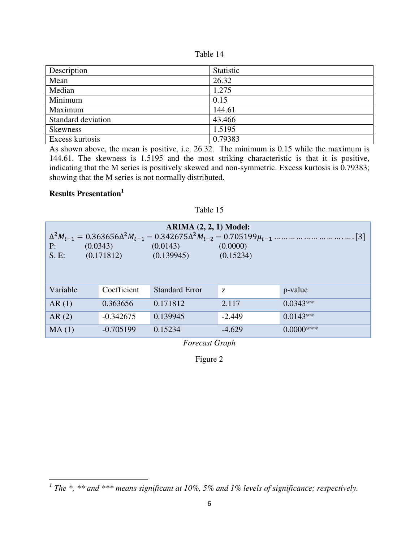| Table |  |
|-------|--|
|-------|--|

| Description        | Statistic |
|--------------------|-----------|
| Mean               | 26.32     |
| Median             | 1.275     |
| Minimum            | 0.15      |
| Maximum            | 144.61    |
| Standard deviation | 43.466    |
| <b>Skewness</b>    | 1.5195    |
| Excess kurtosis    | 0.79383   |

As shown above, the mean is positive, i.e. 26.32. The minimum is 0.15 while the maximum is 144.61. The skewness is 1.5195 and the most striking characteristic is that it is positive, indicating that the M series is positively skewed and non-symmetric. Excess kurtosis is 0.79383; showing that the M series is not normally distributed.

Table 15

# **Results Presentation<sup>1</sup>**

l

| ARIMA $(2, 2, 1)$ Model:<br>(0.0343)<br>(0.0143)<br>P:<br>(0.0000)<br>(0.171812)<br>S.E:<br>(0.139945)<br>(0.15234) |             |                       |          |              |  |  |  |  |
|---------------------------------------------------------------------------------------------------------------------|-------------|-----------------------|----------|--------------|--|--|--|--|
| Variable                                                                                                            | Coefficient | <b>Standard Error</b> | Z        | p-value      |  |  |  |  |
| AR(1)                                                                                                               | 0.363656    | 0.171812              | 2.117    | $0.0343**$   |  |  |  |  |
| AR(2)                                                                                                               | $-0.342675$ | 0.139945              | $-2.449$ | $0.0143**$   |  |  |  |  |
| MA(1)                                                                                                               | $-0.705199$ | 0.15234               | $-4.629$ | $0.0000$ *** |  |  |  |  |

*Forecast Graph* 

Figure 2

<sup>&</sup>lt;sup>1</sup> The \*, \*\* and \*\*\* means significant at 10%, 5% and 1% levels of significance; respectively.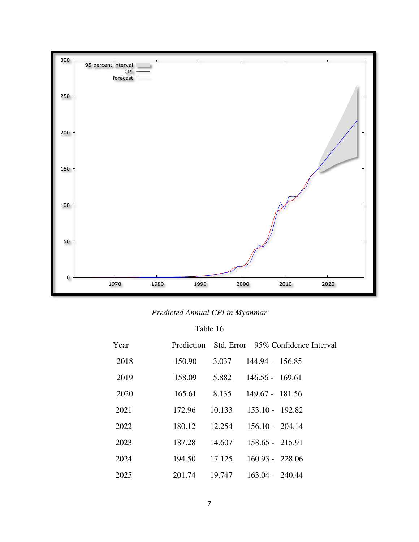

# *Predicted Annual CPI in Myanmar*

Table 16

| Year | Prediction |        | Std. Error 95% Confidence Interval |
|------|------------|--------|------------------------------------|
| 2018 | 150.90     | 3.037  | 144.94 - 156.85                    |
| 2019 | 158.09     | 5.882  | $146.56 - 169.61$                  |
| 2020 | 165.61     | 8.135  | 149.67 - 181.56                    |
| 2021 | 172.96     | 10.133 | $153.10 - 192.82$                  |
| 2022 | 180.12     | 12.254 | $156.10 - 204.14$                  |
| 2023 | 187.28     | 14.607 | $158.65 - 215.91$                  |
| 2024 | 194.50     | 17.125 | $160.93 - 228.06$                  |
| 2025 | 201.74     | 19.747 | $163.04 - 240.44$                  |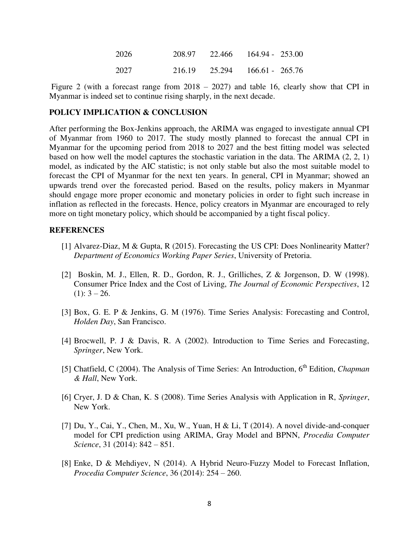| 2026 | 208.97 | - 22.466 | $164.94 - 253.00$ |  |
|------|--------|----------|-------------------|--|
| 2027 | 216.19 | 25.294   | $166.61 - 265.76$ |  |

 Figure 2 (with a forecast range from 2018 – 2027) and table 16, clearly show that CPI in Myanmar is indeed set to continue rising sharply, in the next decade.

#### **POLICY IMPLICATION & CONCLUSION**

After performing the Box-Jenkins approach, the ARIMA was engaged to investigate annual CPI of Myanmar from 1960 to 2017. The study mostly planned to forecast the annual CPI in Myanmar for the upcoming period from 2018 to 2027 and the best fitting model was selected based on how well the model captures the stochastic variation in the data. The ARIMA (2, 2, 1) model, as indicated by the AIC statistic; is not only stable but also the most suitable model to forecast the CPI of Myanmar for the next ten years. In general, CPI in Myanmar; showed an upwards trend over the forecasted period. Based on the results, policy makers in Myanmar should engage more proper economic and monetary policies in order to fight such increase in inflation as reflected in the forecasts. Hence, policy creators in Myanmar are encouraged to rely more on tight monetary policy, which should be accompanied by a tight fiscal policy.

#### **REFERENCES**

- [1] Alvarez-Diaz, M & Gupta, R (2015). Forecasting the US CPI: Does Nonlinearity Matter? *Department of Economics Working Paper Series*, University of Pretoria.
- [2] Boskin, M. J., Ellen, R. D., Gordon, R. J., Grilliches, Z & Jorgenson, D. W (1998). Consumer Price Index and the Cost of Living, *The Journal of Economic Perspectives*, 12  $(1): 3 - 26.$
- [3] Box, G. E. P & Jenkins, G. M (1976). Time Series Analysis: Forecasting and Control, *Holden Day*, San Francisco.
- [4] Brocwell, P. J & Davis, R. A (2002). Introduction to Time Series and Forecasting, *Springer*, New York.
- [5] Chatfield, C (2004). The Analysis of Time Series: An Introduction, 6<sup>th</sup> Edition, *Chapman & Hall*, New York.
- [6] Cryer, J. D & Chan, K. S (2008). Time Series Analysis with Application in R, *Springer*, New York.
- [7] Du, Y., Cai, Y., Chen, M., Xu, W., Yuan, H & Li, T (2014). A novel divide-and-conquer model for CPI prediction using ARIMA, Gray Model and BPNN, *Procedia Computer Science*, 31 (2014): 842 – 851.
- [8] Enke, D & Mehdiyev, N (2014). A Hybrid Neuro-Fuzzy Model to Forecast Inflation, *Procedia Computer Science*, 36 (2014): 254 – 260.